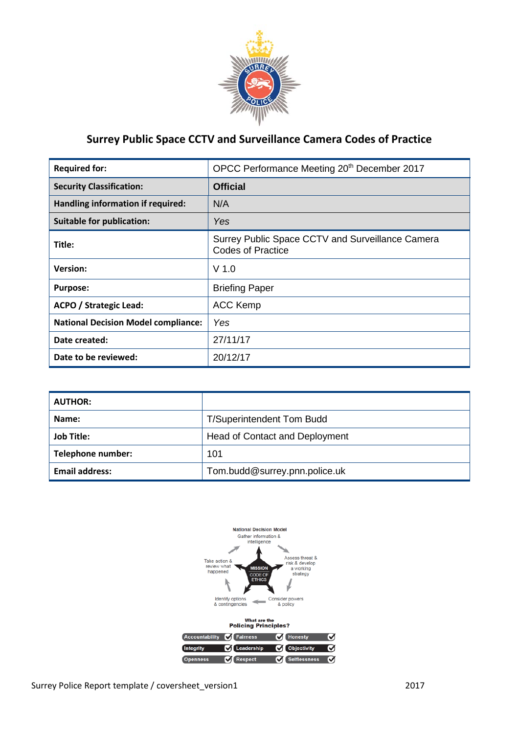

# **Surrey Public Space CCTV and Surveillance Camera Codes of Practice**

| <b>Required for:</b>                       | OPCC Performance Meeting 20 <sup>th</sup> December 2017                      |  |  |  |
|--------------------------------------------|------------------------------------------------------------------------------|--|--|--|
| <b>Security Classification:</b>            | <b>Official</b>                                                              |  |  |  |
| Handling information if required:          | N/A                                                                          |  |  |  |
| <b>Suitable for publication:</b>           | Yes                                                                          |  |  |  |
| Title:                                     | Surrey Public Space CCTV and Surveillance Camera<br><b>Codes of Practice</b> |  |  |  |
| <b>Version:</b>                            | $V$ 1.0                                                                      |  |  |  |
| <b>Purpose:</b>                            | <b>Briefing Paper</b>                                                        |  |  |  |
| <b>ACPO / Strategic Lead:</b>              | <b>ACC Kemp</b>                                                              |  |  |  |
| <b>National Decision Model compliance:</b> | Yes                                                                          |  |  |  |
| Date created:                              | 27/11/17                                                                     |  |  |  |
| Date to be reviewed:                       | 20/12/17                                                                     |  |  |  |

| <b>AUTHOR:</b>        |                                       |
|-----------------------|---------------------------------------|
| Name:                 | <b>T/Superintendent Tom Budd</b>      |
| <b>Job Title:</b>     | <b>Head of Contact and Deployment</b> |
| Telephone number:     | 101                                   |
| <b>Email address:</b> | Tom.budd@surrey.pnn.police.uk         |

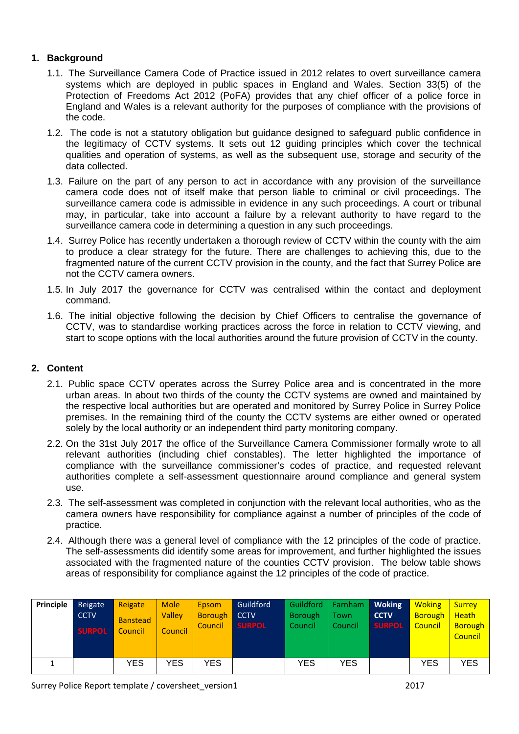## **1. Background**

- 1.1. The Surveillance Camera Code of Practice issued in 2012 relates to overt surveillance camera systems which are deployed in public spaces in England and Wales. Section 33(5) of the Protection of Freedoms Act 2012 (PoFA) provides that any chief officer of a police force in England and Wales is a relevant authority for the purposes of compliance with the provisions of the code.
- 1.2. The code is not a statutory obligation but guidance designed to safeguard public confidence in the legitimacy of CCTV systems. It sets out 12 guiding principles which cover the technical qualities and operation of systems, as well as the subsequent use, storage and security of the data collected.
- 1.3. Failure on the part of any person to act in accordance with any provision of the surveillance camera code does not of itself make that person liable to criminal or civil proceedings. The surveillance camera code is admissible in evidence in any such proceedings. A court or tribunal may, in particular, take into account a failure by a relevant authority to have regard to the surveillance camera code in determining a question in any such proceedings.
- 1.4. Surrey Police has recently undertaken a thorough review of CCTV within the county with the aim to produce a clear strategy for the future. There are challenges to achieving this, due to the fragmented nature of the current CCTV provision in the county, and the fact that Surrey Police are not the CCTV camera owners.
- 1.5. In July 2017 the governance for CCTV was centralised within the contact and deployment command.
- 1.6. The initial objective following the decision by Chief Officers to centralise the governance of CCTV, was to standardise working practices across the force in relation to CCTV viewing, and start to scope options with the local authorities around the future provision of CCTV in the county.

## **2. Content**

- 2.1. Public space CCTV operates across the Surrey Police area and is concentrated in the more urban areas. In about two thirds of the county the CCTV systems are owned and maintained by the respective local authorities but are operated and monitored by Surrey Police in Surrey Police premises. In the remaining third of the county the CCTV systems are either owned or operated solely by the local authority or an independent third party monitoring company.
- 2.2. On the 31st July 2017 the office of the Surveillance Camera Commissioner formally wrote to all relevant authorities (including chief constables). The letter highlighted the importance of compliance with the surveillance commissioner's codes of practice, and requested relevant authorities complete a self-assessment questionnaire around compliance and general system use.
- 2.3. The self-assessment was completed in conjunction with the relevant local authorities, who as the camera owners have responsibility for compliance against a number of principles of the code of practice.
- 2.4. Although there was a general level of compliance with the 12 principles of the code of practice. The self-assessments did identify some areas for improvement, and further highlighted the issues associated with the fragmented nature of the counties CCTV provision. The below table shows areas of responsibility for compliance against the 12 principles of the code of practice.

| Principle | Reigate<br><b>CCTV</b><br><b>SURPOL</b> | Reigate<br><b>Banstead</b><br>Council | <b>Mole</b><br><b>Valley</b><br>Council | Epsom<br>Borough CCTV<br>Council | Guildford<br><b>SURPOL</b> | Guildford  <br><b>Borough</b><br>Council | Farnham<br>Town<br>Council | <b>Woking</b><br><b>CCTV</b><br><b>SURPOL</b> | <b>Woking</b><br>Borough<br>Council | <b>Surrey</b><br><b>Heath</b><br><b>Borough</b><br>Council |
|-----------|-----------------------------------------|---------------------------------------|-----------------------------------------|----------------------------------|----------------------------|------------------------------------------|----------------------------|-----------------------------------------------|-------------------------------------|------------------------------------------------------------|
|           |                                         | YES                                   | <b>YES</b>                              | <b>YES</b>                       |                            | <b>YES</b>                               | <b>YES</b>                 |                                               | <b>YES</b>                          | <b>YES</b>                                                 |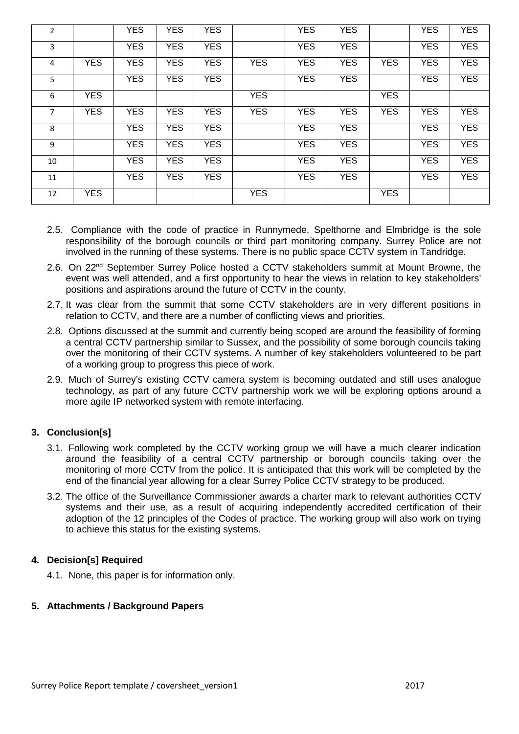| $\overline{2}$ |            | <b>YES</b> | <b>YES</b> | <b>YES</b> |            | <b>YES</b> | <b>YES</b> |            | <b>YES</b> | <b>YES</b> |
|----------------|------------|------------|------------|------------|------------|------------|------------|------------|------------|------------|
| 3              |            | <b>YES</b> | <b>YES</b> | <b>YES</b> |            | <b>YES</b> | <b>YES</b> |            | <b>YES</b> | <b>YES</b> |
| 4              | <b>YES</b> | <b>YES</b> | <b>YES</b> | <b>YES</b> | <b>YES</b> | <b>YES</b> | <b>YES</b> | <b>YES</b> | <b>YES</b> | <b>YES</b> |
| 5              |            | <b>YES</b> | <b>YES</b> | <b>YES</b> |            | <b>YES</b> | <b>YES</b> |            | <b>YES</b> | <b>YES</b> |
| 6              | <b>YES</b> |            |            |            | <b>YES</b> |            |            | <b>YES</b> |            |            |
| $\overline{7}$ | <b>YES</b> | <b>YES</b> | <b>YES</b> | <b>YES</b> | <b>YES</b> | <b>YES</b> | <b>YES</b> | <b>YES</b> | <b>YES</b> | <b>YES</b> |
| 8              |            | <b>YES</b> | <b>YES</b> | <b>YES</b> |            | <b>YES</b> | <b>YES</b> |            | <b>YES</b> | <b>YES</b> |
| 9              |            | <b>YES</b> | <b>YES</b> | <b>YES</b> |            | <b>YES</b> | <b>YES</b> |            | <b>YES</b> | <b>YES</b> |
| 10             |            | <b>YES</b> | <b>YES</b> | <b>YES</b> |            | <b>YES</b> | <b>YES</b> |            | <b>YES</b> | <b>YES</b> |
| 11             |            | <b>YES</b> | <b>YES</b> | <b>YES</b> |            | <b>YES</b> | <b>YES</b> |            | <b>YES</b> | <b>YES</b> |
| 12             | <b>YES</b> |            |            |            | <b>YES</b> |            |            | <b>YES</b> |            |            |

- 2.5.Compliance with the code of practice in Runnymede, Spelthorne and Elmbridge is the sole responsibility of the borough councils or third part monitoring company. Surrey Police are not involved in the running of these systems. There is no public space CCTV system in Tandridge.
- 2.6. On 22nd September Surrey Police hosted a CCTV stakeholders summit at Mount Browne, the event was well attended, and a first opportunity to hear the views in relation to key stakeholders' positions and aspirations around the future of CCTV in the county.
- 2.7. It was clear from the summit that some CCTV stakeholders are in very different positions in relation to CCTV, and there are a number of conflicting views and priorities.
- 2.8. Options discussed at the summit and currently being scoped are around the feasibility of forming a central CCTV partnership similar to Sussex, and the possibility of some borough councils taking over the monitoring of their CCTV systems. A number of key stakeholders volunteered to be part of a working group to progress this piece of work.
- 2.9. Much of Surrey's existing CCTV camera system is becoming outdated and still uses analogue technology, as part of any future CCTV partnership work we will be exploring options around a more agile IP networked system with remote interfacing.

## **3. Conclusion[s]**

- 3.1. Following work completed by the CCTV working group we will have a much clearer indication around the feasibility of a central CCTV partnership or borough councils taking over the monitoring of more CCTV from the police. It is anticipated that this work will be completed by the end of the financial year allowing for a clear Surrey Police CCTV strategy to be produced.
- 3.2. The office of the Surveillance Commissioner awards a charter mark to relevant authorities CCTV systems and their use, as a result of acquiring independently accredited certification of their adoption of the 12 principles of the Codes of practice. The working group will also work on trying to achieve this status for the existing systems.

## **4. Decision[s] Required**

4.1. None, this paper is for information only.

## **5. Attachments / Background Papers**